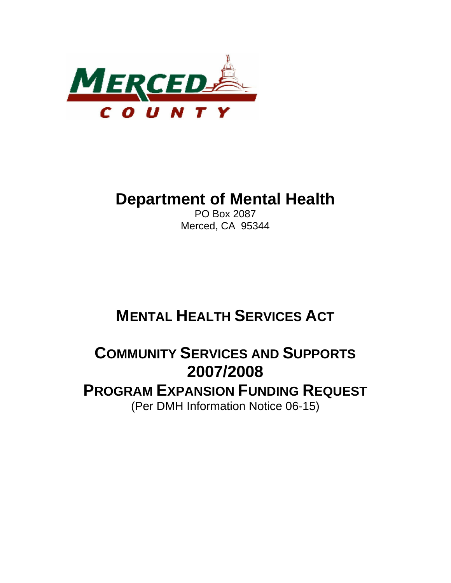

# **Department of Mental Health**

PO Box 2087 Merced, CA 95344

# **MENTAL HEALTH SERVICES ACT**

# **COMMUNITY SERVICES AND SUPPORTS 2007/2008**

## **PROGRAM EXPANSION FUNDING REQUEST** (Per DMH Information Notice 06-15)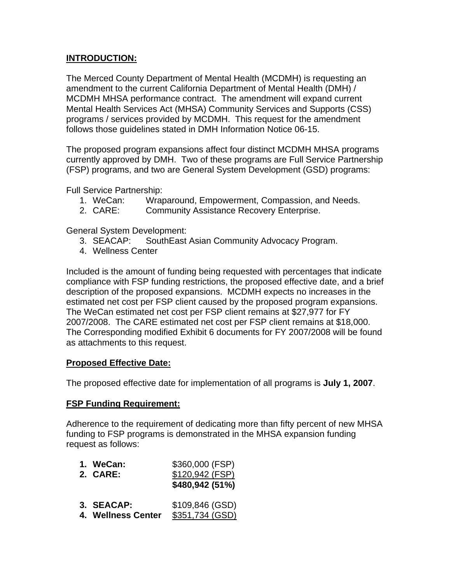### **INTRODUCTION:**

The Merced County Department of Mental Health (MCDMH) is requesting an amendment to the current California Department of Mental Health (DMH) / MCDMH MHSA performance contract. The amendment will expand current Mental Health Services Act (MHSA) Community Services and Supports (CSS) programs / services provided by MCDMH. This request for the amendment follows those guidelines stated in DMH Information Notice 06-15.

The proposed program expansions affect four distinct MCDMH MHSA programs currently approved by DMH. Two of these programs are Full Service Partnership (FSP) programs, and two are General System Development (GSD) programs:

Full Service Partnership:

- 1. WeCan: Wraparound, Empowerment, Compassion, and Needs.
- 2. CARE: Community Assistance Recovery Enterprise.

General System Development:

- 3. SEACAP: SouthEast Asian Community Advocacy Program.
- 4. Wellness Center

Included is the amount of funding being requested with percentages that indicate compliance with FSP funding restrictions, the proposed effective date, and a brief description of the proposed expansions. MCDMH expects no increases in the estimated net cost per FSP client caused by the proposed program expansions. The WeCan estimated net cost per FSP client remains at \$27,977 for FY 2007/2008. The CARE estimated net cost per FSP client remains at \$18,000. The Corresponding modified Exhibit 6 documents for FY 2007/2008 will be found as attachments to this request.

#### **Proposed Effective Date:**

The proposed effective date for implementation of all programs is **July 1, 2007**.

#### **FSP Funding Requirement:**

Adherence to the requirement of dedicating more than fifty percent of new MHSA funding to FSP programs is demonstrated in the MHSA expansion funding request as follows:

| 1. WeCan:<br>2. CARE:            | \$360,000 (FSP)<br>\$120,942 (FSP)<br>\$480,942 (51%) |
|----------------------------------|-------------------------------------------------------|
| 3. SEACAP:<br>4. Wellness Center | \$109,846 (GSD)<br>\$351,734 (GSD)                    |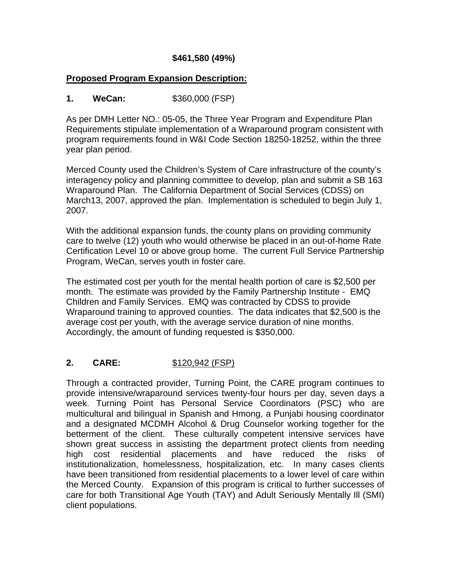## **\$461,580 (49%)**

### **Proposed Program Expansion Description:**

### **1. WeCan:** \$360,000 (FSP)

As per DMH Letter NO.: 05-05, the Three Year Program and Expenditure Plan Requirements stipulate implementation of a Wraparound program consistent with program requirements found in W&I Code Section 18250-18252, within the three year plan period.

Merced County used the Children's System of Care infrastructure of the county's interagency policy and planning committee to develop, plan and submit a SB 163 Wraparound Plan. The California Department of Social Services (CDSS) on March13, 2007, approved the plan. Implementation is scheduled to begin July 1, 2007.

With the additional expansion funds, the county plans on providing community care to twelve (12) youth who would otherwise be placed in an out-of-home Rate Certification Level 10 or above group home. The current Full Service Partnership Program, WeCan, serves youth in foster care.

The estimated cost per youth for the mental health portion of care is \$2,500 per month. The estimate was provided by the Family Partnership Institute - EMQ Children and Family Services. EMQ was contracted by CDSS to provide Wraparound training to approved counties. The data indicates that \$2,500 is the average cost per youth, with the average service duration of nine months. Accordingly, the amount of funding requested is \$350,000.

#### **2. CARE:** \$120,942 (FSP)

Through a contracted provider, Turning Point, the CARE program continues to provide intensive/wraparound services twenty-four hours per day, seven days a week. Turning Point has Personal Service Coordinators (PSC) who are multicultural and bilingual in Spanish and Hmong, a Punjabi housing coordinator and a designated MCDMH Alcohol & Drug Counselor working together for the betterment of the client. These culturally competent intensive services have shown great success in assisting the department protect clients from needing high cost residential placements and have reduced the risks of institutionalization, homelessness, hospitalization, etc. In many cases clients have been transitioned from residential placements to a lower level of care within the Merced County. Expansion of this program is critical to further successes of care for both Transitional Age Youth (TAY) and Adult Seriously Mentally Ill (SMI) client populations.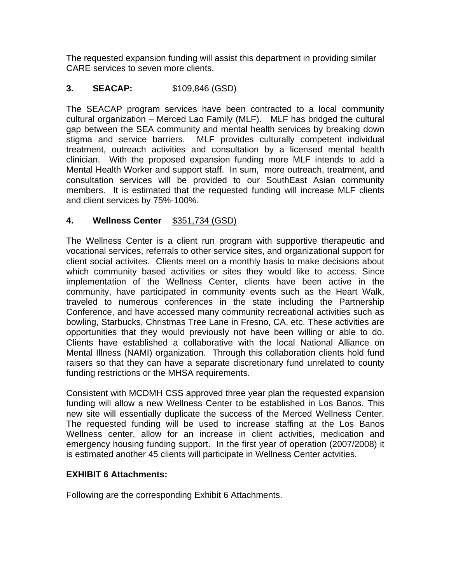The requested expansion funding will assist this department in providing similar CARE services to seven more clients.

## **3. SEACAP:** \$109,846 (GSD)

The SEACAP program services have been contracted to a local community cultural organization – Merced Lao Family (MLF). MLF has bridged the cultural gap between the SEA community and mental health services by breaking down stigma and service barriers. MLF provides culturally competent individual treatment, outreach activities and consultation by a licensed mental health clinician. With the proposed expansion funding more MLF intends to add a Mental Health Worker and support staff. In sum, more outreach, treatment, and consultation services will be provided to our SouthEast Asian community members. It is estimated that the requested funding will increase MLF clients and client services by 75%-100%.

## **4. Wellness Center** \$351,734 (GSD)

The Wellness Center is a client run program with supportive therapeutic and vocational services, referrals to other service sites, and organizational support for client social activites. Clients meet on a monthly basis to make decisions about which community based activities or sites they would like to access. Since implementation of the Wellness Center, clients have been active in the community, have participated in community events such as the Heart Walk, traveled to numerous conferences in the state including the Partnership Conference, and have accessed many community recreational activities such as bowling, Starbucks, Christmas Tree Lane in Fresno, CA, etc. These activities are opportunities that they would previously not have been willing or able to do. Clients have established a collaborative with the local National Alliance on Mental Illness (NAMI) organization. Through this collaboration clients hold fund raisers so that they can have a separate discretionary fund unrelated to county funding restrictions or the MHSA requirements.

Consistent with MCDMH CSS approved three year plan the requested expansion funding will allow a new Wellness Center to be established in Los Banos. This new site will essentially duplicate the success of the Merced Wellness Center. The requested funding will be used to increase staffing at the Los Banos Wellness center, allow for an increase in client activities, medication and emergency housing funding support. In the first year of operation (2007/2008) it is estimated another 45 clients will participate in Wellness Center actvities.

## **EXHIBIT 6 Attachments:**

Following are the corresponding Exhibit 6 Attachments.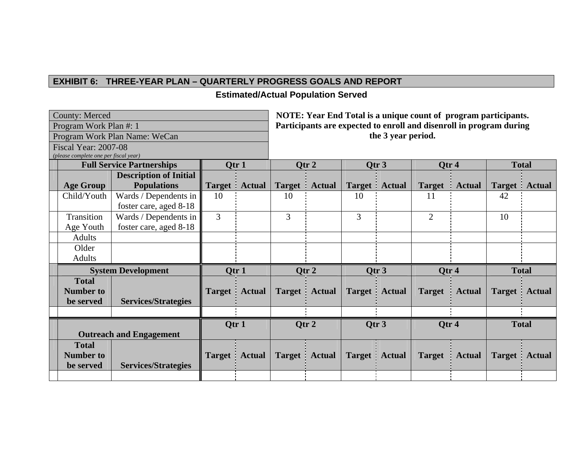## **Estimated/Actual Population Served**

| <b>County: Merced</b>                   |                     |               |               |               |                      |                      | NOTE: Year End Total is a unique count of program participants.     |               |               |                      |  |  |  |  |  |  |  |
|-----------------------------------------|---------------------|---------------|---------------|---------------|----------------------|----------------------|---------------------------------------------------------------------|---------------|---------------|----------------------|--|--|--|--|--|--|--|
| Program Work Plan #: 1                  |                     |               |               |               |                      |                      | Participants are expected to enroll and disenroll in program during |               |               |                      |  |  |  |  |  |  |  |
| Program Work Plan Name: WeCan           |                     |               |               |               |                      | the 3 year period.   |                                                                     |               |               |                      |  |  |  |  |  |  |  |
| <b>Fiscal Year: 2007-08</b>             |                     |               |               |               |                      |                      |                                                                     |               |               |                      |  |  |  |  |  |  |  |
| (please complete one per fiscal year)   |                     |               |               |               |                      |                      |                                                                     |               |               |                      |  |  |  |  |  |  |  |
| <b>Full Service Partnerships</b>        |                     | Qtr 1         |               | Qtr 2         |                      | Qtr <sub>3</sub>     | Qtr 4                                                               | <b>Total</b>  |               |                      |  |  |  |  |  |  |  |
| <b>Description of Initial</b>           |                     |               |               |               |                      |                      |                                                                     |               |               |                      |  |  |  |  |  |  |  |
| <b>Populations</b><br><b>Age Group</b>  | <b>Target</b>       | <b>Actual</b> | <b>Target</b> | <b>Actual</b> |                      | <b>Target</b> Actual | <b>Target</b>                                                       | <b>Actual</b> |               | <b>Target</b> Actual |  |  |  |  |  |  |  |
| Child/Youth<br>Wards / Dependents in    | 10                  |               | 10            |               | 10                   |                      | 11                                                                  |               | 42            |                      |  |  |  |  |  |  |  |
| foster care, aged 8-18                  |                     |               |               |               |                      |                      |                                                                     |               |               |                      |  |  |  |  |  |  |  |
| Transition<br>Wards / Dependents in     | $\overline{3}$      |               | 3             |               | 3                    |                      | $\overline{2}$                                                      |               | 10            |                      |  |  |  |  |  |  |  |
| foster care, aged 8-18<br>Age Youth     |                     |               |               |               |                      |                      |                                                                     |               |               |                      |  |  |  |  |  |  |  |
| <b>Adults</b>                           |                     |               |               |               |                      |                      |                                                                     |               |               |                      |  |  |  |  |  |  |  |
| Older                                   |                     |               |               |               |                      |                      |                                                                     |               |               |                      |  |  |  |  |  |  |  |
| <b>Adults</b>                           |                     |               |               |               |                      |                      |                                                                     |               |               |                      |  |  |  |  |  |  |  |
| <b>System Development</b>               | Qtr 1               |               | Qtr 2         |               | Qtr 3                |                      | Qtr 4                                                               |               | <b>Total</b>  |                      |  |  |  |  |  |  |  |
| <b>Total</b>                            |                     |               |               |               |                      |                      |                                                                     |               |               |                      |  |  |  |  |  |  |  |
| <b>Number to</b>                        | <b>Target</b>       | <b>Actual</b> | <b>Target</b> | <b>Actual</b> |                      | <b>Target</b> Actual | <b>Target</b>                                                       | <b>Actual</b> | <b>Target</b> | <b>Actual</b>        |  |  |  |  |  |  |  |
| <b>Services/Strategies</b><br>be served |                     |               |               |               |                      |                      |                                                                     |               |               |                      |  |  |  |  |  |  |  |
|                                         |                     |               |               |               |                      |                      |                                                                     |               |               |                      |  |  |  |  |  |  |  |
|                                         | Qtr 1               |               |               | Qtr 2         | Qtr 3                |                      | Qtr 4                                                               |               |               | <b>Total</b>         |  |  |  |  |  |  |  |
| <b>Outreach and Engagement</b>          |                     |               |               |               |                      |                      |                                                                     |               |               |                      |  |  |  |  |  |  |  |
| <b>Total</b>                            |                     |               |               |               |                      |                      |                                                                     |               |               |                      |  |  |  |  |  |  |  |
| <b>Number to</b>                        | <b>Target</b><br>÷. | <b>Actual</b> | <b>Target</b> | <b>Actual</b> | <b>Target</b> Actual |                      | <b>Target</b>                                                       | <b>Actual</b> |               | <b>Target</b> Actual |  |  |  |  |  |  |  |
| <b>Services/Strategies</b><br>be served |                     |               |               |               |                      |                      |                                                                     |               |               |                      |  |  |  |  |  |  |  |
|                                         |                     |               |               |               |                      |                      |                                                                     |               |               |                      |  |  |  |  |  |  |  |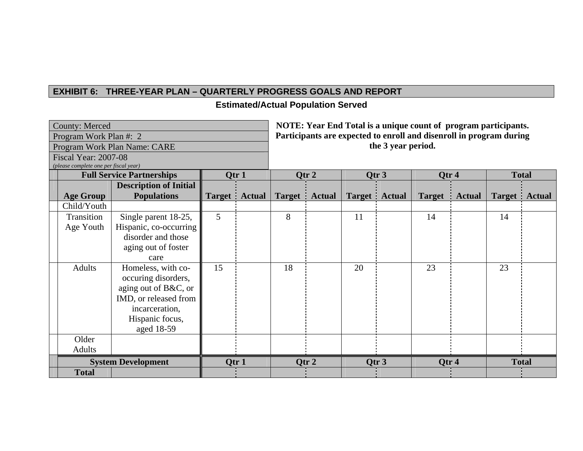## **Estimated/Actual Population Served**

÷.

| <b>County: Merced</b>                 |                               |                |                      |               |               |                  |                      | NOTE: Year End Total is a unique count of program participants.     |               |                      |  |  |
|---------------------------------------|-------------------------------|----------------|----------------------|---------------|---------------|------------------|----------------------|---------------------------------------------------------------------|---------------|----------------------|--|--|
| Program Work Plan #: 2                |                               |                |                      |               |               |                  |                      | Participants are expected to enroll and disenroll in program during |               |                      |  |  |
|                                       | Program Work Plan Name: CARE  |                |                      |               |               |                  | the 3 year period.   |                                                                     |               |                      |  |  |
| <b>Fiscal Year: 2007-08</b>           |                               |                |                      |               |               |                  |                      |                                                                     |               |                      |  |  |
| (please complete one per fiscal year) |                               |                |                      |               |               |                  |                      |                                                                     |               |                      |  |  |
| <b>Full Service Partnerships</b>      |                               | Qtr 2<br>Qtr 1 |                      |               |               | Otr <sub>3</sub> | Qtr <sub>4</sub>     |                                                                     | <b>Total</b>  |                      |  |  |
|                                       | <b>Description of Initial</b> |                |                      |               |               |                  |                      |                                                                     |               |                      |  |  |
| <b>Age Group</b>                      | <b>Populations</b>            |                | <b>Target</b> Actual | <b>Target</b> | <b>Actual</b> |                  | <b>Target</b> Actual | <b>Target</b>                                                       | <b>Actual</b> | <b>Target</b> Actual |  |  |
| Child/Youth                           |                               |                |                      |               |               |                  |                      |                                                                     |               |                      |  |  |
| Transition                            | Single parent 18-25,          | 5              |                      | 8             |               | 11               |                      | 14                                                                  |               | 14                   |  |  |
| Age Youth                             | Hispanic, co-occurring        |                |                      |               |               |                  |                      |                                                                     |               |                      |  |  |
|                                       | disorder and those            |                |                      |               |               |                  |                      |                                                                     |               |                      |  |  |
|                                       | aging out of foster           |                |                      |               |               |                  |                      |                                                                     |               |                      |  |  |
|                                       | care                          |                |                      |               |               |                  |                      |                                                                     |               |                      |  |  |
| <b>Adults</b>                         | Homeless, with co-            | 15             |                      | 18            |               | 20               |                      | 23                                                                  |               | 23                   |  |  |
|                                       | occuring disorders,           |                |                      |               |               |                  |                      |                                                                     |               |                      |  |  |
|                                       | aging out of B&C, or          |                |                      |               |               |                  |                      |                                                                     |               |                      |  |  |
|                                       | IMD, or released from         |                |                      |               |               |                  |                      |                                                                     |               |                      |  |  |
|                                       | incarceration,                |                |                      |               |               |                  |                      |                                                                     |               |                      |  |  |
|                                       | Hispanic focus,               |                |                      |               |               |                  |                      |                                                                     |               |                      |  |  |
|                                       | aged 18-59                    |                |                      |               |               |                  |                      |                                                                     |               |                      |  |  |
| Older                                 |                               |                |                      |               |               |                  |                      |                                                                     |               |                      |  |  |
| <b>Adults</b>                         |                               |                |                      |               |               |                  |                      |                                                                     |               |                      |  |  |
|                                       | <b>System Development</b>     | Qtr 1          |                      |               | Qtr 2         |                  | Otr <sub>3</sub>     | <b>Total</b><br>Qtr 4                                               |               |                      |  |  |
| <b>Total</b>                          |                               |                |                      |               |               |                  |                      |                                                                     |               |                      |  |  |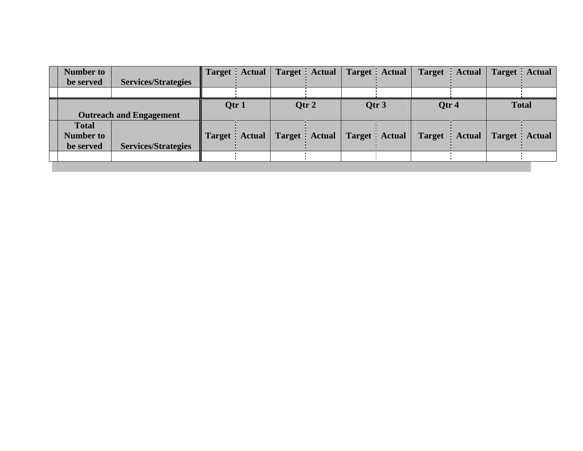| <b>Number to</b> |                                | <b>Target</b> Actual | Target Actual |                  | <b>Target</b> Actual | <b>Target</b> | <b>Actual</b> | <b>Target</b> | <b>Actual</b>        |
|------------------|--------------------------------|----------------------|---------------|------------------|----------------------|---------------|---------------|---------------|----------------------|
| be served        | <b>Services/Strategies</b>     |                      |               |                  |                      |               |               |               |                      |
|                  |                                |                      |               |                  |                      |               |               |               |                      |
|                  |                                | Qtr 1                |               | Qtr <sub>2</sub> | Qtr <sub>3</sub>     | Qtr 4         |               |               | <b>Total</b>         |
|                  | <b>Outreach and Engagement</b> |                      |               |                  |                      |               |               |               |                      |
| <b>Total</b>     |                                |                      |               |                  |                      |               |               |               |                      |
| <b>Number to</b> |                                | <b>Target</b> Actual | <b>Target</b> | <b>Actual</b>    | <b>Target</b> Actual | <b>Target</b> | <b>Actual</b> |               | <b>Target</b> Actual |
| be served        | <b>Services/Strategies</b>     |                      |               |                  |                      |               |               |               |                      |
|                  |                                |                      |               |                  |                      |               |               |               |                      |
|                  |                                |                      |               |                  |                      |               |               |               |                      |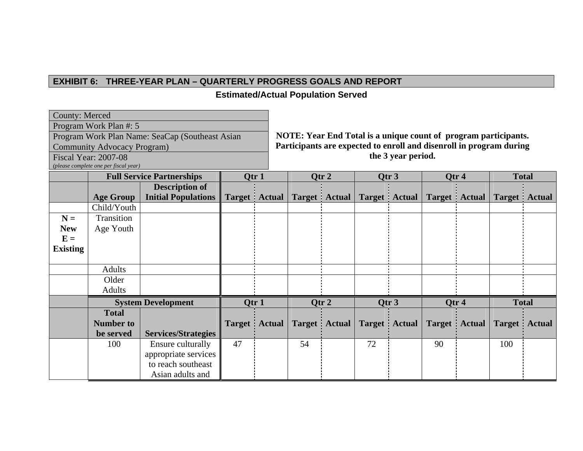## **Estimated/Actual Population Served**

| <b>County: Merced</b>                           |
|-------------------------------------------------|
| Program Work Plan #: 5                          |
| Program Work Plan Name: SeaCap (Southeast Asian |
| <b>Community Advocacy Program)</b>              |
| <b>Fiscal Year: 2007-08</b>                     |
| (please complete one per fiscal year)           |

**NOTE: Year End Total is a unique count of program participants. Participants are expected to enroll and disenroll in program during the 3 year period.** 

|                 |                  | <b>Full Service Partnerships</b> |       | Qtr 1                |    | Qtr <sub>2</sub>     |    | Qtr <sub>3</sub>     | Qtr 4 |                        |     | <b>Total</b>           |
|-----------------|------------------|----------------------------------|-------|----------------------|----|----------------------|----|----------------------|-------|------------------------|-----|------------------------|
|                 |                  | <b>Description of</b>            |       |                      |    |                      |    |                      |       |                        |     |                        |
|                 | <b>Age Group</b> | <b>Initial Populations</b>       |       | <b>Target</b> Actual |    | <b>Target</b> Actual |    | <b>Target</b> Actual |       | <b>Target</b> Actual   |     | <b>Target</b> Actual   |
|                 | Child/Youth      |                                  |       |                      |    |                      |    |                      |       |                        |     |                        |
| $N =$           | Transition       |                                  |       |                      |    |                      |    |                      |       |                        |     |                        |
| <b>New</b>      | Age Youth        |                                  |       |                      |    |                      |    |                      |       |                        |     |                        |
| $E =$           |                  |                                  |       |                      |    |                      |    |                      |       |                        |     |                        |
| <b>Existing</b> |                  |                                  |       |                      |    |                      |    |                      |       |                        |     |                        |
|                 |                  |                                  |       |                      |    |                      |    |                      |       |                        |     |                        |
|                 | <b>Adults</b>    |                                  |       |                      |    |                      |    |                      |       |                        |     |                        |
|                 | Older            |                                  |       |                      |    |                      |    |                      |       |                        |     |                        |
|                 | Adults           |                                  |       |                      |    |                      |    |                      |       |                        |     |                        |
|                 |                  | <b>System Development</b>        | Qtr 1 |                      |    | Qtr 2                |    | Qtr 3                | Qtr 4 |                        |     | <b>Total</b>           |
|                 | <b>Total</b>     |                                  |       |                      |    |                      |    |                      |       |                        |     |                        |
|                 | <b>Number to</b> |                                  |       | <b>Target</b> Actual |    | <b>Target</b> Actual |    | <b>Target</b> Actual |       | <b>Target</b> : Actual |     | <b>Target</b>   Actual |
|                 | be served        | <b>Services/Strategies</b>       |       |                      |    |                      |    |                      |       |                        |     |                        |
|                 | 100              | Ensure culturally                | 47    |                      | 54 |                      | 72 |                      | 90    |                        | 100 |                        |
|                 |                  | appropriate services             |       |                      |    |                      |    |                      |       |                        |     |                        |
|                 |                  | to reach southeast               |       |                      |    |                      |    |                      |       |                        |     |                        |
|                 |                  | Asian adults and                 |       |                      |    |                      |    |                      |       |                        |     |                        |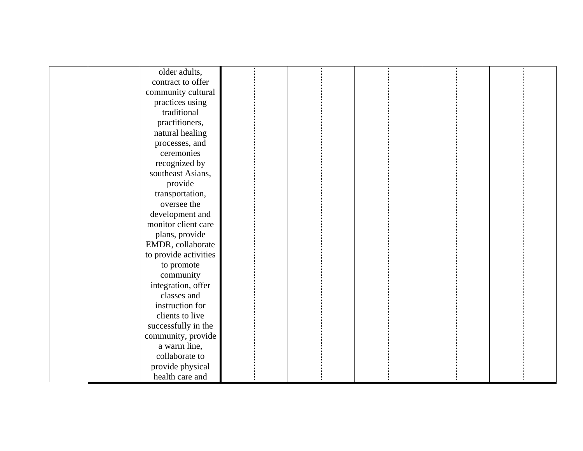|  | older adults,         |  |  |  |  |  |
|--|-----------------------|--|--|--|--|--|
|  | contract to offer     |  |  |  |  |  |
|  | community cultural    |  |  |  |  |  |
|  | practices using       |  |  |  |  |  |
|  | traditional           |  |  |  |  |  |
|  | practitioners,        |  |  |  |  |  |
|  | natural healing       |  |  |  |  |  |
|  | processes, and        |  |  |  |  |  |
|  | ceremonies            |  |  |  |  |  |
|  | recognized by         |  |  |  |  |  |
|  | southeast Asians,     |  |  |  |  |  |
|  | provide               |  |  |  |  |  |
|  | transportation,       |  |  |  |  |  |
|  | oversee the           |  |  |  |  |  |
|  | development and       |  |  |  |  |  |
|  | monitor client care   |  |  |  |  |  |
|  | plans, provide        |  |  |  |  |  |
|  | EMDR, collaborate     |  |  |  |  |  |
|  | to provide activities |  |  |  |  |  |
|  | to promote            |  |  |  |  |  |
|  | community             |  |  |  |  |  |
|  | integration, offer    |  |  |  |  |  |
|  | classes and           |  |  |  |  |  |
|  | instruction for       |  |  |  |  |  |
|  | clients to live       |  |  |  |  |  |
|  | successfully in the   |  |  |  |  |  |
|  | community, provide    |  |  |  |  |  |
|  | a warm line,          |  |  |  |  |  |
|  | collaborate to        |  |  |  |  |  |
|  |                       |  |  |  |  |  |
|  | provide physical      |  |  |  |  |  |
|  | health care and       |  |  |  |  |  |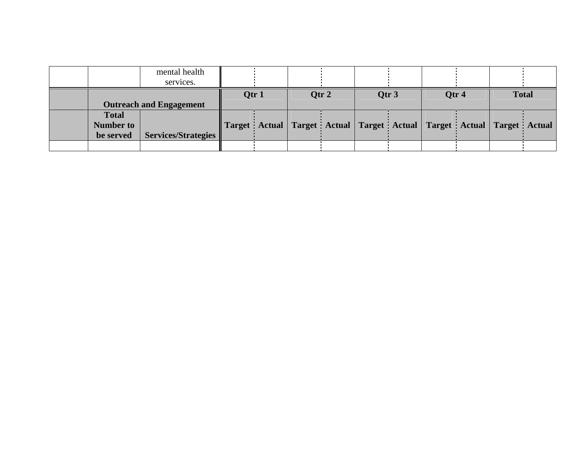|                                | mental health<br>services. |       |                  |       |                                                                                         |  |              |
|--------------------------------|----------------------------|-------|------------------|-------|-----------------------------------------------------------------------------------------|--|--------------|
|                                |                            | Qtr 1 | Qtr <sub>2</sub> | Qtr 3 | Otr <sub>4</sub>                                                                        |  | <b>Total</b> |
| <b>Outreach and Engagement</b> |                            |       |                  |       |                                                                                         |  |              |
| <b>Total</b>                   |                            |       |                  |       |                                                                                         |  |              |
| <b>Number to</b>               |                            |       |                  |       | Target   Actual   Target   Actual   Target   Actual   Target   Actual   Target   Actual |  |              |
| be served                      | Services/Strategies        |       |                  |       |                                                                                         |  |              |
|                                |                            |       |                  |       |                                                                                         |  |              |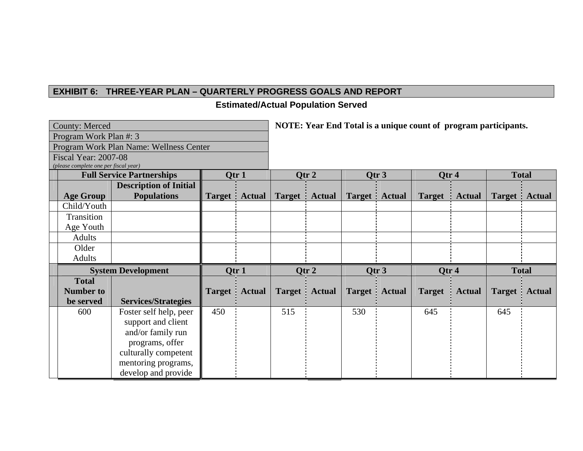**Estimated/Actual Population Served** 

| <b>County: Merced</b>                                                                                                                                                                                                                                                                                                                                                                                                                                                                                                                               |                      |       |               |               |               |                  | NOTE: Year End Total is a unique count of program participants. |                      |               |               |                      |  |  |  |
|-----------------------------------------------------------------------------------------------------------------------------------------------------------------------------------------------------------------------------------------------------------------------------------------------------------------------------------------------------------------------------------------------------------------------------------------------------------------------------------------------------------------------------------------------------|----------------------|-------|---------------|---------------|---------------|------------------|-----------------------------------------------------------------|----------------------|---------------|---------------|----------------------|--|--|--|
|                                                                                                                                                                                                                                                                                                                                                                                                                                                                                                                                                     |                      |       |               |               |               |                  |                                                                 |                      |               |               |                      |  |  |  |
| Program Work Plan #: 3<br>Program Work Plan Name: Wellness Center<br><b>Fiscal Year: 2007-08</b><br>(please complete one per fiscal year)<br><b>Full Service Partnerships</b><br>Qtr 1<br><b>Description of Initial</b><br><b>Populations</b><br><b>Age Group</b><br><b>Target</b> Actual<br>Child/Youth<br>Transition<br>Age Youth<br><b>Adults</b><br>Older<br><b>Adults</b><br><b>System Development</b><br><b>Total</b><br><b>Number to</b><br><b>Target</b><br><b>Services/Strategies</b><br>be served<br>450<br>600<br>Foster self help, peer |                      |       |               |               |               |                  |                                                                 |                      |               |               |                      |  |  |  |
|                                                                                                                                                                                                                                                                                                                                                                                                                                                                                                                                                     |                      |       |               |               |               |                  |                                                                 |                      |               |               |                      |  |  |  |
|                                                                                                                                                                                                                                                                                                                                                                                                                                                                                                                                                     |                      |       |               |               |               |                  |                                                                 |                      |               |               |                      |  |  |  |
|                                                                                                                                                                                                                                                                                                                                                                                                                                                                                                                                                     |                      |       |               |               | Qtr 2         | Qtr 3            |                                                                 | Qtr 4                |               |               | <b>Total</b>         |  |  |  |
|                                                                                                                                                                                                                                                                                                                                                                                                                                                                                                                                                     |                      |       |               |               |               |                  |                                                                 |                      |               |               |                      |  |  |  |
|                                                                                                                                                                                                                                                                                                                                                                                                                                                                                                                                                     |                      |       |               |               | Target Actual |                  | <b>Target</b> Actual                                            | <b>Target</b> Actual |               |               | <b>Target</b> Actual |  |  |  |
|                                                                                                                                                                                                                                                                                                                                                                                                                                                                                                                                                     |                      |       |               |               |               |                  |                                                                 |                      |               |               |                      |  |  |  |
|                                                                                                                                                                                                                                                                                                                                                                                                                                                                                                                                                     |                      |       |               |               |               |                  |                                                                 |                      |               |               |                      |  |  |  |
|                                                                                                                                                                                                                                                                                                                                                                                                                                                                                                                                                     |                      |       |               |               |               |                  |                                                                 |                      |               |               |                      |  |  |  |
|                                                                                                                                                                                                                                                                                                                                                                                                                                                                                                                                                     |                      |       |               |               |               |                  |                                                                 |                      |               |               |                      |  |  |  |
|                                                                                                                                                                                                                                                                                                                                                                                                                                                                                                                                                     |                      |       |               |               |               |                  |                                                                 |                      |               |               |                      |  |  |  |
|                                                                                                                                                                                                                                                                                                                                                                                                                                                                                                                                                     |                      |       |               |               |               |                  |                                                                 |                      |               |               |                      |  |  |  |
|                                                                                                                                                                                                                                                                                                                                                                                                                                                                                                                                                     |                      | Qtr 1 |               | Qtr 2         |               | Qtr <sub>3</sub> |                                                                 | Qtr 4                |               | <b>Total</b>  |                      |  |  |  |
|                                                                                                                                                                                                                                                                                                                                                                                                                                                                                                                                                     |                      |       |               |               |               |                  |                                                                 |                      |               |               |                      |  |  |  |
|                                                                                                                                                                                                                                                                                                                                                                                                                                                                                                                                                     |                      |       | <b>Actual</b> | <b>Target</b> | <b>Actual</b> |                  | <b>Target</b> Actual                                            | <b>Target</b>        | <b>Actual</b> | <b>Target</b> | <b>Actual</b>        |  |  |  |
|                                                                                                                                                                                                                                                                                                                                                                                                                                                                                                                                                     |                      |       |               |               |               |                  |                                                                 |                      |               |               |                      |  |  |  |
|                                                                                                                                                                                                                                                                                                                                                                                                                                                                                                                                                     |                      |       |               | 515           |               | 530              |                                                                 | 645                  |               | 645           |                      |  |  |  |
|                                                                                                                                                                                                                                                                                                                                                                                                                                                                                                                                                     | support and client   |       |               |               |               |                  |                                                                 |                      |               |               |                      |  |  |  |
|                                                                                                                                                                                                                                                                                                                                                                                                                                                                                                                                                     | and/or family run    |       |               |               |               |                  |                                                                 |                      |               |               |                      |  |  |  |
|                                                                                                                                                                                                                                                                                                                                                                                                                                                                                                                                                     | programs, offer      |       |               |               |               |                  |                                                                 |                      |               |               |                      |  |  |  |
|                                                                                                                                                                                                                                                                                                                                                                                                                                                                                                                                                     | culturally competent |       |               |               |               |                  |                                                                 |                      |               |               |                      |  |  |  |
|                                                                                                                                                                                                                                                                                                                                                                                                                                                                                                                                                     | mentoring programs,  |       |               |               |               |                  |                                                                 |                      |               |               |                      |  |  |  |
|                                                                                                                                                                                                                                                                                                                                                                                                                                                                                                                                                     | develop and provide  |       |               |               |               |                  |                                                                 |                      |               |               |                      |  |  |  |